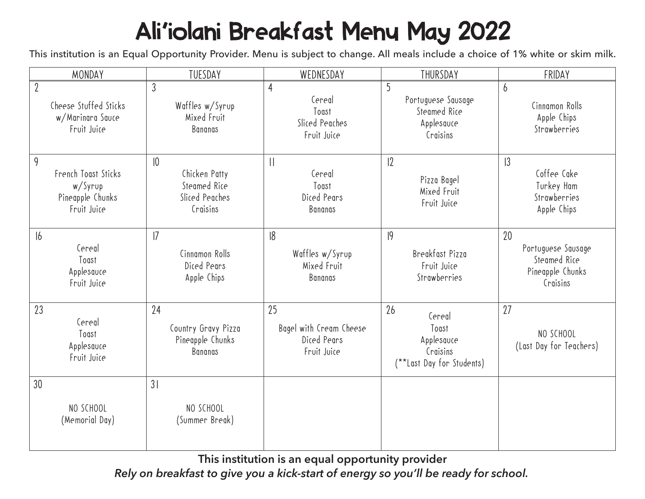## Ali'iolani Breakfast Menu May 2022

This institution is an Equal Opportunity Provider. Menu is subject to change. All meals include a choice of 1% white or skim milk.

| MONDAY                                                                     | TUESDAY                                                                    | WEDNESDAY                                                          | THURSDAY                                                                     | FRIDAY                                                                   |
|----------------------------------------------------------------------------|----------------------------------------------------------------------------|--------------------------------------------------------------------|------------------------------------------------------------------------------|--------------------------------------------------------------------------|
| $\overline{2}$<br>Cheese Stuffed Sticks<br>w/Marinara Sauce<br>Fruit Juice | $\mathfrak{Z}$<br>Waffles w/Syrup<br>Mixed Fruit<br><b>Bananas</b>         | $\overline{4}$<br>Cereal<br>Toast<br>Sliced Peaches<br>Fruit Juice | 5<br>Portuguese Sausage<br>Steamed Rice<br>Applesauce<br>Craisins            | $\overline{6}$<br>Cinnamon Rolls<br>Apple Chips<br>Strawberries          |
| 9<br>French Toast Sticks<br>w/Syrup<br>Pineapple Chunks<br>Fruit Juice     | $ 0\rangle$<br>Chicken Patty<br>Steamed Rice<br>Sliced Peaches<br>Craisins | $\mathbf{  }$<br>Cereal<br>Toast<br>Diced Pears<br>Bananas         | 12<br>Pizza Bagel<br>Mixed Fruit<br>Fruit Juice                              | 3<br>Coffee Cake<br>Turkey Ham<br>Strawberries<br>Apple Chips            |
| 16<br>Cereal<br>Toast<br>Applesauce<br>Fruit Juice                         | 7<br>Cinnamon Rolls<br>Diced Pears<br>Apple Chips                          | 18<br>Waffles w/Syrup<br>Mixed Fruit<br>Bananas                    | 9<br>Breakfast Pizza<br>Fruit Juice<br>Strawberries                          | 20<br>Portuguese Sausage<br>Steamed Rice<br>Pineapple Chunks<br>Craisins |
| 23<br>Cereal<br>Toast<br>Applesauce<br>Fruit Juice                         | 24<br>Country Gravy Pizza<br>Pineapple Chunks<br>Bananas                   | 25<br>Bagel with Cream Cheese<br>Diced Pears<br>Fruit Juice        | 26<br>Cereal<br>Toast<br>Applesauce<br>Craisins<br>(**Last Day for Students) | 27<br>NO SCHOOL<br>(Last Day for Teachers)                               |
| 30<br>NO SCHOOL<br>(Memorial Day)                                          | 31<br>NO SCHOOL<br>(Summer Break)                                          |                                                                    |                                                                              |                                                                          |

**This institution is an equal opportunity provider**

*Rely on breakfast to give you a kick-start of energy so you'll be ready for school.*